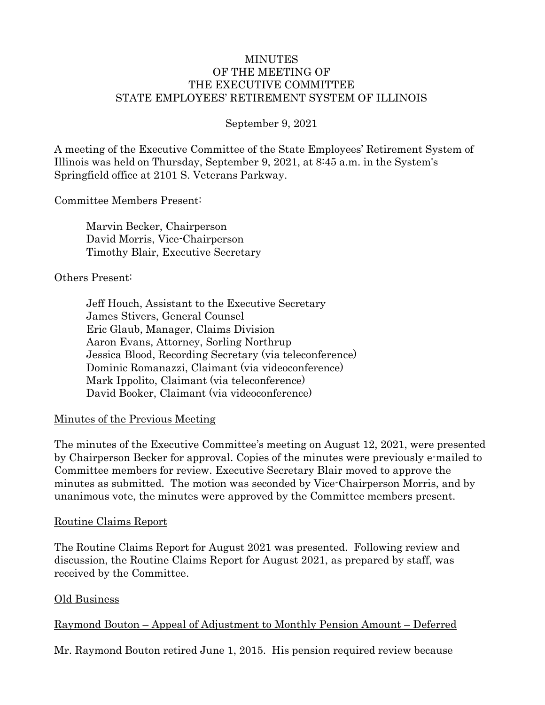### MINUTES OF THE MEETING OF THE EXECUTIVE COMMITTEE STATE EMPLOYEES' RETIREMENT SYSTEM OF ILLINOIS

### September 9, 2021

A meeting of the Executive Committee of the State Employees' Retirement System of Illinois was held on Thursday, September 9, 2021, at 8:45 a.m. in the System's Springfield office at 2101 S. Veterans Parkway.

Committee Members Present:

Marvin Becker, Chairperson David Morris, Vice-Chairperson Timothy Blair, Executive Secretary

#### Others Present:

Jeff Houch, Assistant to the Executive Secretary James Stivers, General Counsel Eric Glaub, Manager, Claims Division Aaron Evans, Attorney, Sorling Northrup Jessica Blood, Recording Secretary (via teleconference) Dominic Romanazzi, Claimant (via videoconference) Mark Ippolito, Claimant (via teleconference) David Booker, Claimant (via videoconference)

### Minutes of the Previous Meeting

The minutes of the Executive Committee's meeting on August 12, 2021, were presented by Chairperson Becker for approval. Copies of the minutes were previously e-mailed to Committee members for review. Executive Secretary Blair moved to approve the minutes as submitted. The motion was seconded by Vice-Chairperson Morris, and by unanimous vote, the minutes were approved by the Committee members present.

#### Routine Claims Report

The Routine Claims Report for August 2021 was presented. Following review and discussion, the Routine Claims Report for August 2021, as prepared by staff, was received by the Committee.

### Old Business

### Raymond Bouton – Appeal of Adjustment to Monthly Pension Amount – Deferred

Mr. Raymond Bouton retired June 1, 2015. His pension required review because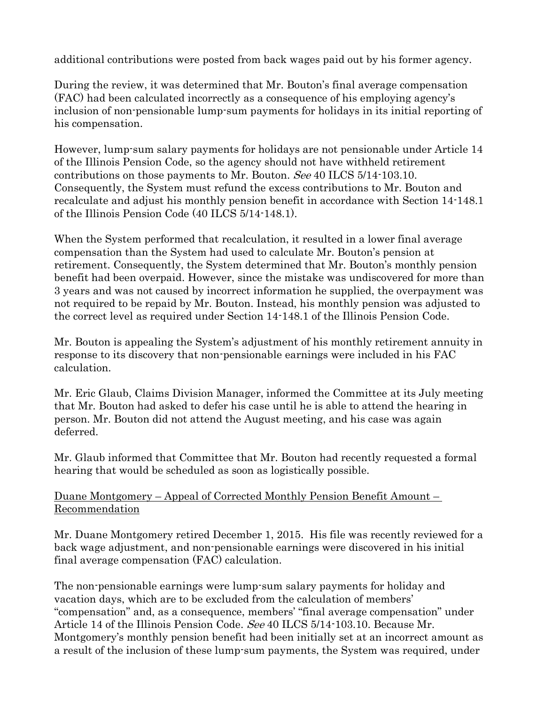additional contributions were posted from back wages paid out by his former agency.

During the review, it was determined that Mr. Bouton's final average compensation (FAC) had been calculated incorrectly as a consequence of his employing agency's inclusion of non-pensionable lump-sum payments for holidays in its initial reporting of his compensation.

However, lump-sum salary payments for holidays are not pensionable under Article 14 of the Illinois Pension Code, so the agency should not have withheld retirement contributions on those payments to Mr. Bouton. See 40 ILCS 5/14-103.10. Consequently, the System must refund the excess contributions to Mr. Bouton and recalculate and adjust his monthly pension benefit in accordance with Section 14-148.1 of the Illinois Pension Code (40 ILCS 5/14-148.1).

When the System performed that recalculation, it resulted in a lower final average compensation than the System had used to calculate Mr. Bouton's pension at retirement. Consequently, the System determined that Mr. Bouton's monthly pension benefit had been overpaid. However, since the mistake was undiscovered for more than 3 years and was not caused by incorrect information he supplied, the overpayment was not required to be repaid by Mr. Bouton. Instead, his monthly pension was adjusted to the correct level as required under Section 14-148.1 of the Illinois Pension Code.

Mr. Bouton is appealing the System's adjustment of his monthly retirement annuity in response to its discovery that non-pensionable earnings were included in his FAC calculation.

Mr. Eric Glaub, Claims Division Manager, informed the Committee at its July meeting that Mr. Bouton had asked to defer his case until he is able to attend the hearing in person. Mr. Bouton did not attend the August meeting, and his case was again deferred.

Mr. Glaub informed that Committee that Mr. Bouton had recently requested a formal hearing that would be scheduled as soon as logistically possible.

### Duane Montgomery – Appeal of Corrected Monthly Pension Benefit Amount – Recommendation

Mr. Duane Montgomery retired December 1, 2015. His file was recently reviewed for a back wage adjustment, and non-pensionable earnings were discovered in his initial final average compensation (FAC) calculation.

The non-pensionable earnings were lump-sum salary payments for holiday and vacation days, which are to be excluded from the calculation of members' "compensation" and, as a consequence, members' "final average compensation" under Article 14 of the Illinois Pension Code. See 40 ILCS 5/14-103.10. Because Mr. Montgomery's monthly pension benefit had been initially set at an incorrect amount as a result of the inclusion of these lump-sum payments, the System was required, under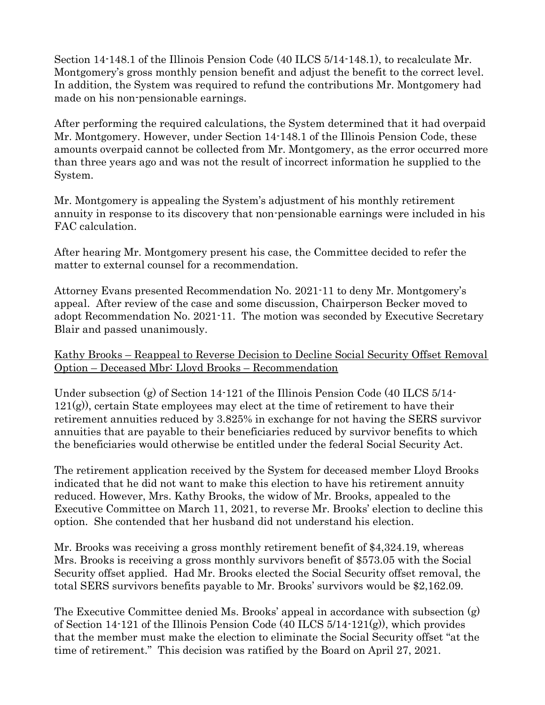Section 14-148.1 of the Illinois Pension Code (40 ILCS 5/14-148.1), to recalculate Mr. Montgomery's gross monthly pension benefit and adjust the benefit to the correct level. In addition, the System was required to refund the contributions Mr. Montgomery had made on his non-pensionable earnings.

After performing the required calculations, the System determined that it had overpaid Mr. Montgomery. However, under Section 14-148.1 of the Illinois Pension Code, these amounts overpaid cannot be collected from Mr. Montgomery, as the error occurred more than three years ago and was not the result of incorrect information he supplied to the System.

Mr. Montgomery is appealing the System's adjustment of his monthly retirement annuity in response to its discovery that non-pensionable earnings were included in his FAC calculation.

After hearing Mr. Montgomery present his case, the Committee decided to refer the matter to external counsel for a recommendation.

Attorney Evans presented Recommendation No. 2021-11 to deny Mr. Montgomery's appeal. After review of the case and some discussion, Chairperson Becker moved to adopt Recommendation No. 2021-11. The motion was seconded by Executive Secretary Blair and passed unanimously.

Kathy Brooks – Reappeal to Reverse Decision to Decline Social Security Offset Removal Option – Deceased Mbr: Lloyd Brooks – Recommendation

Under subsection (g) of Section 14-121 of the Illinois Pension Code (40 ILCS 5/14-121(g)), certain State employees may elect at the time of retirement to have their retirement annuities reduced by 3.825% in exchange for not having the SERS survivor annuities that are payable to their beneficiaries reduced by survivor benefits to which the beneficiaries would otherwise be entitled under the federal Social Security Act.

The retirement application received by the System for deceased member Lloyd Brooks indicated that he did not want to make this election to have his retirement annuity reduced. However, Mrs. Kathy Brooks, the widow of Mr. Brooks, appealed to the Executive Committee on March 11, 2021, to reverse Mr. Brooks' election to decline this option. She contended that her husband did not understand his election.

Mr. Brooks was receiving a gross monthly retirement benefit of \$4,324.19, whereas Mrs. Brooks is receiving a gross monthly survivors benefit of \$573.05 with the Social Security offset applied. Had Mr. Brooks elected the Social Security offset removal, the total SERS survivors benefits payable to Mr. Brooks' survivors would be \$2,162.09.

The Executive Committee denied Ms. Brooks' appeal in accordance with subsection (g) of Section 14-121 of the Illinois Pension Code (40 ILCS 5/14-121(g)), which provides that the member must make the election to eliminate the Social Security offset "at the time of retirement." This decision was ratified by the Board on April 27, 2021.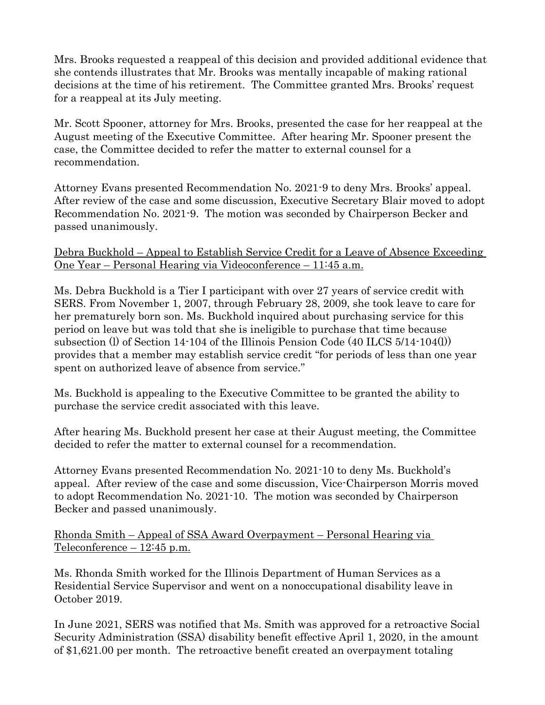Mrs. Brooks requested a reappeal of this decision and provided additional evidence that she contends illustrates that Mr. Brooks was mentally incapable of making rational decisions at the time of his retirement. The Committee granted Mrs. Brooks' request for a reappeal at its July meeting.

Mr. Scott Spooner, attorney for Mrs. Brooks, presented the case for her reappeal at the August meeting of the Executive Committee. After hearing Mr. Spooner present the case, the Committee decided to refer the matter to external counsel for a recommendation.

Attorney Evans presented Recommendation No. 2021-9 to deny Mrs. Brooks' appeal. After review of the case and some discussion, Executive Secretary Blair moved to adopt Recommendation No. 2021-9. The motion was seconded by Chairperson Becker and passed unanimously.

Debra Buckhold – Appeal to Establish Service Credit for a Leave of Absence Exceeding One Year – Personal Hearing via Videoconference – 11:45 a.m.

Ms. Debra Buckhold is a Tier I participant with over 27 years of service credit with SERS. From November 1, 2007, through February 28, 2009, she took leave to care for her prematurely born son. Ms. Buckhold inquired about purchasing service for this period on leave but was told that she is ineligible to purchase that time because subsection (l) of Section 14-104 of the Illinois Pension Code (40 ILCS 5/14-104(l)) provides that a member may establish service credit "for periods of less than one year spent on authorized leave of absence from service."

Ms. Buckhold is appealing to the Executive Committee to be granted the ability to purchase the service credit associated with this leave.

After hearing Ms. Buckhold present her case at their August meeting, the Committee decided to refer the matter to external counsel for a recommendation.

Attorney Evans presented Recommendation No. 2021-10 to deny Ms. Buckhold's appeal. After review of the case and some discussion, Vice-Chairperson Morris moved to adopt Recommendation No. 2021-10. The motion was seconded by Chairperson Becker and passed unanimously.

Rhonda Smith – Appeal of SSA Award Overpayment – Personal Hearing via Teleconference – 12:45 p.m.

Ms. Rhonda Smith worked for the Illinois Department of Human Services as a Residential Service Supervisor and went on a nonoccupational disability leave in October 2019.

In June 2021, SERS was notified that Ms. Smith was approved for a retroactive Social Security Administration (SSA) disability benefit effective April 1, 2020, in the amount of \$1,621.00 per month. The retroactive benefit created an overpayment totaling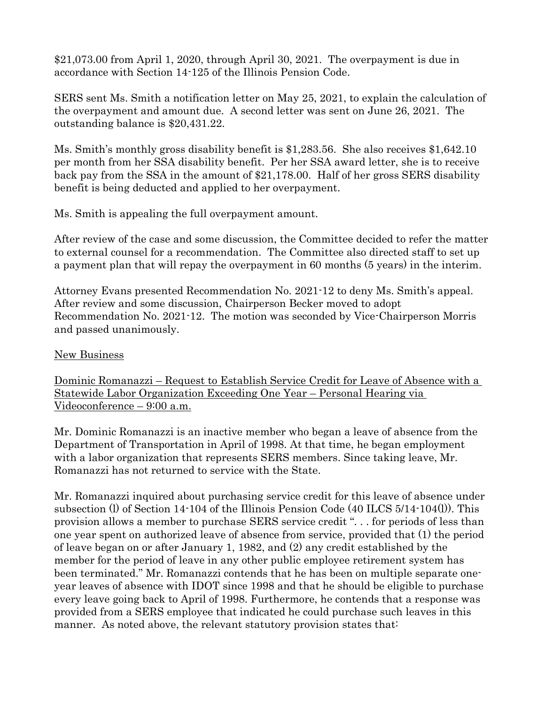\$21,073.00 from April 1, 2020, through April 30, 2021. The overpayment is due in accordance with Section 14-125 of the Illinois Pension Code.

SERS sent Ms. Smith a notification letter on May 25, 2021, to explain the calculation of the overpayment and amount due. A second letter was sent on June 26, 2021. The outstanding balance is \$20,431.22.

Ms. Smith's monthly gross disability benefit is \$1,283.56. She also receives \$1,642.10 per month from her SSA disability benefit. Per her SSA award letter, she is to receive back pay from the SSA in the amount of \$21,178.00. Half of her gross SERS disability benefit is being deducted and applied to her overpayment.

Ms. Smith is appealing the full overpayment amount.

After review of the case and some discussion, the Committee decided to refer the matter to external counsel for a recommendation. The Committee also directed staff to set up a payment plan that will repay the overpayment in 60 months (5 years) in the interim.

Attorney Evans presented Recommendation No. 2021-12 to deny Ms. Smith's appeal. After review and some discussion, Chairperson Becker moved to adopt Recommendation No. 2021-12. The motion was seconded by Vice-Chairperson Morris and passed unanimously.

## New Business

Dominic Romanazzi – Request to Establish Service Credit for Leave of Absence with a Statewide Labor Organization Exceeding One Year – Personal Hearing via Videoconference – 9:00 a.m.

Mr. Dominic Romanazzi is an inactive member who began a leave of absence from the Department of Transportation in April of 1998. At that time, he began employment with a labor organization that represents SERS members. Since taking leave, Mr. Romanazzi has not returned to service with the State.

Mr. Romanazzi inquired about purchasing service credit for this leave of absence under subsection (l) of Section 14-104 of the Illinois Pension Code (40 ILCS 5/14-104(l)). This provision allows a member to purchase SERS service credit ". . . for periods of less than one year spent on authorized leave of absence from service, provided that (1) the period of leave began on or after January 1, 1982, and (2) any credit established by the member for the period of leave in any other public employee retirement system has been terminated." Mr. Romanazzi contends that he has been on multiple separate oneyear leaves of absence with IDOT since 1998 and that he should be eligible to purchase every leave going back to April of 1998. Furthermore, he contends that a response was provided from a SERS employee that indicated he could purchase such leaves in this manner. As noted above, the relevant statutory provision states that: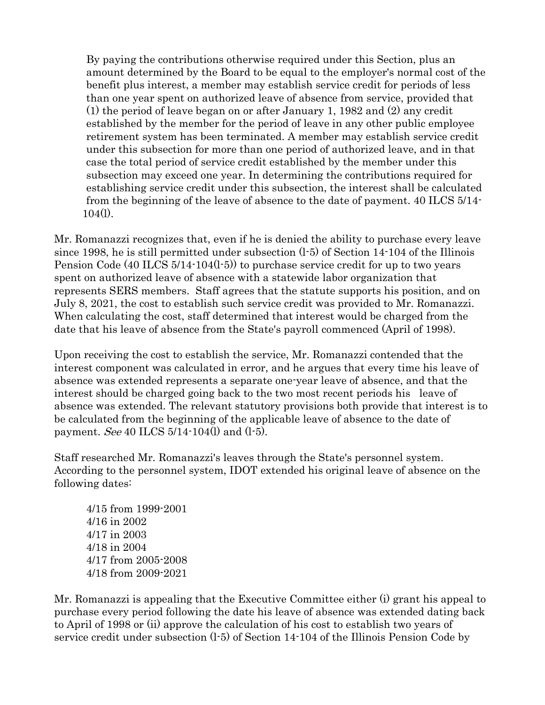By paying the contributions otherwise required under this Section, plus an amount determined by the Board to be equal to the employer's normal cost of the benefit plus interest, a member may establish service credit for periods of less than one year spent on authorized leave of absence from service, provided that (1) the period of leave began on or after January 1, 1982 and (2) any credit established by the member for the period of leave in any other public employee retirement system has been terminated. A member may establish service credit under this subsection for more than one period of authorized leave, and in that case the total period of service credit established by the member under this subsection may exceed one year. In determining the contributions required for establishing service credit under this subsection, the interest shall be calculated from the beginning of the leave of absence to the date of payment. 40 ILCS 5/14- 104(l).

Mr. Romanazzi recognizes that, even if he is denied the ability to purchase every leave since 1998, he is still permitted under subsection (l-5) of Section 14-104 of the Illinois Pension Code (40 ILCS 5/14-104(l-5)) to purchase service credit for up to two years spent on authorized leave of absence with a statewide labor organization that represents SERS members. Staff agrees that the statute supports his position, and on July 8, 2021, the cost to establish such service credit was provided to Mr. Romanazzi. When calculating the cost, staff determined that interest would be charged from the date that his leave of absence from the State's payroll commenced (April of 1998).

Upon receiving the cost to establish the service, Mr. Romanazzi contended that the interest component was calculated in error, and he argues that every time his leave of absence was extended represents a separate one-year leave of absence, and that the interest should be charged going back to the two most recent periods his leave of absence was extended. The relevant statutory provisions both provide that interest is to be calculated from the beginning of the applicable leave of absence to the date of payment. *See* 40 ILCS  $5/14$ -104(l) and (1-5).

Staff researched Mr. Romanazzi's leaves through the State's personnel system. According to the personnel system, IDOT extended his original leave of absence on the following dates:

4/15 from 1999-2001 4/16 in 2002 4/17 in 2003 4/18 in 2004 4/17 from 2005-2008 4/18 from 2009-2021

Mr. Romanazzi is appealing that the Executive Committee either (i) grant his appeal to purchase every period following the date his leave of absence was extended dating back to April of 1998 or (ii) approve the calculation of his cost to establish two years of service credit under subsection (l-5) of Section 14-104 of the Illinois Pension Code by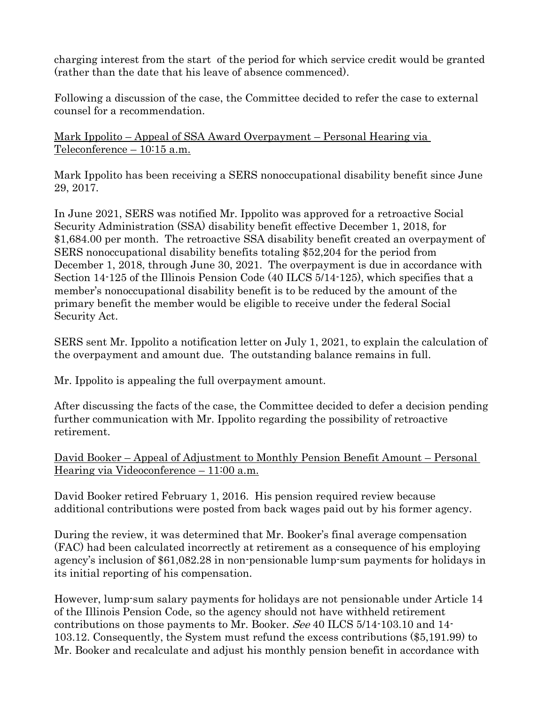charging interest from the start of the period for which service credit would be granted (rather than the date that his leave of absence commenced).

Following a discussion of the case, the Committee decided to refer the case to external counsel for a recommendation.

Mark Ippolito – Appeal of SSA Award Overpayment – Personal Hearing via Teleconference – 10:15 a.m.

Mark Ippolito has been receiving a SERS nonoccupational disability benefit since June 29, 2017.

In June 2021, SERS was notified Mr. Ippolito was approved for a retroactive Social Security Administration (SSA) disability benefit effective December 1, 2018, for \$1,684.00 per month. The retroactive SSA disability benefit created an overpayment of SERS nonoccupational disability benefits totaling \$52,204 for the period from December 1, 2018, through June 30, 2021. The overpayment is due in accordance with Section 14-125 of the Illinois Pension Code (40 ILCS 5/14-125), which specifies that a member's nonoccupational disability benefit is to be reduced by the amount of the primary benefit the member would be eligible to receive under the federal Social Security Act.

SERS sent Mr. Ippolito a notification letter on July 1, 2021, to explain the calculation of the overpayment and amount due. The outstanding balance remains in full.

Mr. Ippolito is appealing the full overpayment amount.

After discussing the facts of the case, the Committee decided to defer a decision pending further communication with Mr. Ippolito regarding the possibility of retroactive retirement.

David Booker – Appeal of Adjustment to Monthly Pension Benefit Amount – Personal Hearing via Videoconference – 11:00 a.m.

David Booker retired February 1, 2016. His pension required review because additional contributions were posted from back wages paid out by his former agency.

During the review, it was determined that Mr. Booker's final average compensation (FAC) had been calculated incorrectly at retirement as a consequence of his employing agency's inclusion of \$61,082.28 in non-pensionable lump-sum payments for holidays in its initial reporting of his compensation.

However, lump-sum salary payments for holidays are not pensionable under Article 14 of the Illinois Pension Code, so the agency should not have withheld retirement contributions on those payments to Mr. Booker. See 40 ILCS 5/14-103.10 and 14- 103.12. Consequently, the System must refund the excess contributions (\$5,191.99) to Mr. Booker and recalculate and adjust his monthly pension benefit in accordance with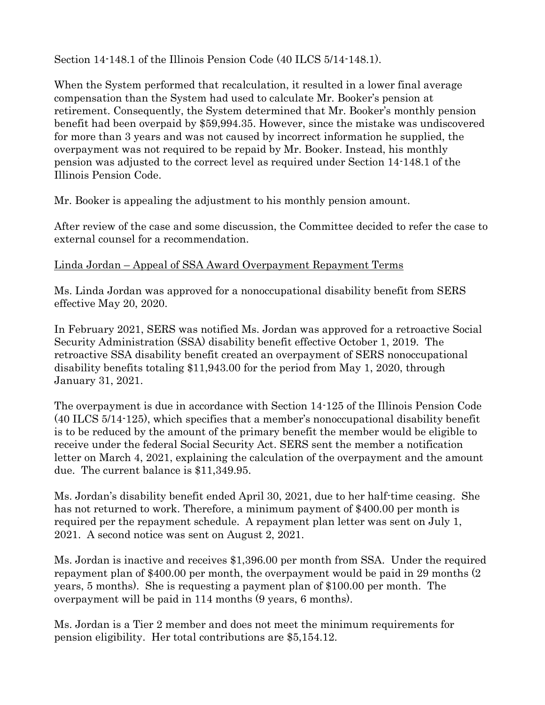Section 14-148.1 of the Illinois Pension Code (40 ILCS 5/14-148.1).

When the System performed that recalculation, it resulted in a lower final average compensation than the System had used to calculate Mr. Booker's pension at retirement. Consequently, the System determined that Mr. Booker's monthly pension benefit had been overpaid by \$59,994.35. However, since the mistake was undiscovered for more than 3 years and was not caused by incorrect information he supplied, the overpayment was not required to be repaid by Mr. Booker. Instead, his monthly pension was adjusted to the correct level as required under Section 14-148.1 of the Illinois Pension Code.

Mr. Booker is appealing the adjustment to his monthly pension amount.

After review of the case and some discussion, the Committee decided to refer the case to external counsel for a recommendation.

# Linda Jordan – Appeal of SSA Award Overpayment Repayment Terms

Ms. Linda Jordan was approved for a nonoccupational disability benefit from SERS effective May 20, 2020.

In February 2021, SERS was notified Ms. Jordan was approved for a retroactive Social Security Administration (SSA) disability benefit effective October 1, 2019. The retroactive SSA disability benefit created an overpayment of SERS nonoccupational disability benefits totaling \$11,943.00 for the period from May 1, 2020, through January 31, 2021.

The overpayment is due in accordance with Section 14-125 of the Illinois Pension Code (40 ILCS 5/14-125), which specifies that a member's nonoccupational disability benefit is to be reduced by the amount of the primary benefit the member would be eligible to receive under the federal Social Security Act. SERS sent the member a notification letter on March 4, 2021, explaining the calculation of the overpayment and the amount due. The current balance is \$11,349.95.

Ms. Jordan's disability benefit ended April 30, 2021, due to her half-time ceasing. She has not returned to work. Therefore, a minimum payment of \$400.00 per month is required per the repayment schedule. A repayment plan letter was sent on July 1, 2021. A second notice was sent on August 2, 2021.

Ms. Jordan is inactive and receives \$1,396.00 per month from SSA. Under the required repayment plan of \$400.00 per month, the overpayment would be paid in 29 months (2 years, 5 months). She is requesting a payment plan of \$100.00 per month. The overpayment will be paid in 114 months (9 years, 6 months).

Ms. Jordan is a Tier 2 member and does not meet the minimum requirements for pension eligibility. Her total contributions are \$5,154.12.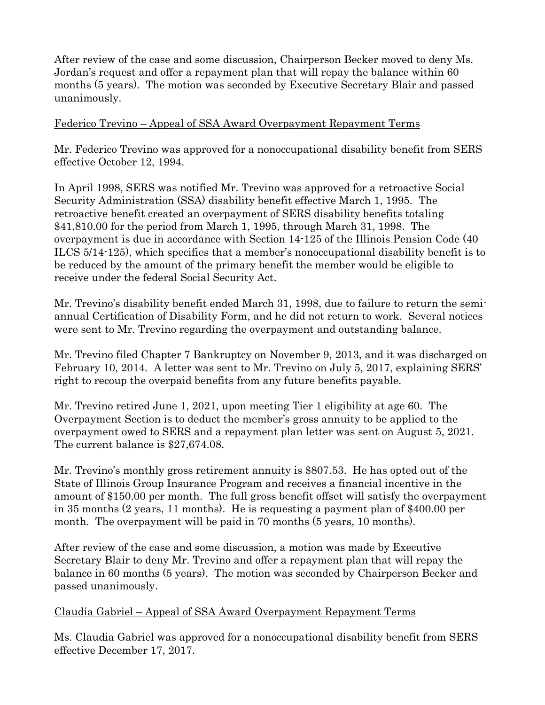After review of the case and some discussion, Chairperson Becker moved to deny Ms. Jordan's request and offer a repayment plan that will repay the balance within 60 months (5 years). The motion was seconded by Executive Secretary Blair and passed unanimously.

### Federico Trevino – Appeal of SSA Award Overpayment Repayment Terms

Mr. Federico Trevino was approved for a nonoccupational disability benefit from SERS effective October 12, 1994.

In April 1998, SERS was notified Mr. Trevino was approved for a retroactive Social Security Administration (SSA) disability benefit effective March 1, 1995. The retroactive benefit created an overpayment of SERS disability benefits totaling \$41,810.00 for the period from March 1, 1995, through March 31, 1998. The overpayment is due in accordance with Section 14-125 of the Illinois Pension Code (40 ILCS 5/14-125), which specifies that a member's nonoccupational disability benefit is to be reduced by the amount of the primary benefit the member would be eligible to receive under the federal Social Security Act.

Mr. Trevino's disability benefit ended March 31, 1998, due to failure to return the semiannual Certification of Disability Form, and he did not return to work. Several notices were sent to Mr. Trevino regarding the overpayment and outstanding balance.

Mr. Trevino filed Chapter 7 Bankruptcy on November 9, 2013, and it was discharged on February 10, 2014. A letter was sent to Mr. Trevino on July 5, 2017, explaining SERS' right to recoup the overpaid benefits from any future benefits payable.

Mr. Trevino retired June 1, 2021, upon meeting Tier 1 eligibility at age 60. The Overpayment Section is to deduct the member's gross annuity to be applied to the overpayment owed to SERS and a repayment plan letter was sent on August 5, 2021. The current balance is \$27,674.08.

Mr. Trevino's monthly gross retirement annuity is \$807.53. He has opted out of the State of Illinois Group Insurance Program and receives a financial incentive in the amount of \$150.00 per month. The full gross benefit offset will satisfy the overpayment in 35 months (2 years, 11 months). He is requesting a payment plan of \$400.00 per month. The overpayment will be paid in 70 months (5 years, 10 months).

After review of the case and some discussion, a motion was made by Executive Secretary Blair to deny Mr. Trevino and offer a repayment plan that will repay the balance in 60 months (5 years). The motion was seconded by Chairperson Becker and passed unanimously.

### Claudia Gabriel – Appeal of SSA Award Overpayment Repayment Terms

Ms. Claudia Gabriel was approved for a nonoccupational disability benefit from SERS effective December 17, 2017.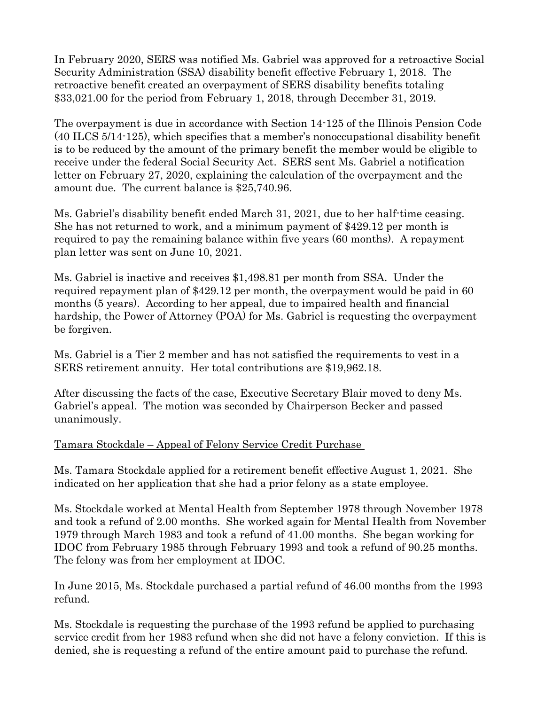In February 2020, SERS was notified Ms. Gabriel was approved for a retroactive Social Security Administration (SSA) disability benefit effective February 1, 2018. The retroactive benefit created an overpayment of SERS disability benefits totaling \$33,021.00 for the period from February 1, 2018, through December 31, 2019.

The overpayment is due in accordance with Section 14-125 of the Illinois Pension Code (40 ILCS 5/14-125), which specifies that a member's nonoccupational disability benefit is to be reduced by the amount of the primary benefit the member would be eligible to receive under the federal Social Security Act. SERS sent Ms. Gabriel a notification letter on February 27, 2020, explaining the calculation of the overpayment and the amount due. The current balance is \$25,740.96.

Ms. Gabriel's disability benefit ended March 31, 2021, due to her half-time ceasing. She has not returned to work, and a minimum payment of \$429.12 per month is required to pay the remaining balance within five years (60 months). A repayment plan letter was sent on June 10, 2021.

Ms. Gabriel is inactive and receives \$1,498.81 per month from SSA. Under the required repayment plan of \$429.12 per month, the overpayment would be paid in 60 months (5 years). According to her appeal, due to impaired health and financial hardship, the Power of Attorney (POA) for Ms. Gabriel is requesting the overpayment be forgiven.

Ms. Gabriel is a Tier 2 member and has not satisfied the requirements to vest in a SERS retirement annuity. Her total contributions are \$19,962.18.

After discussing the facts of the case, Executive Secretary Blair moved to deny Ms. Gabriel's appeal. The motion was seconded by Chairperson Becker and passed unanimously.

### Tamara Stockdale – Appeal of Felony Service Credit Purchase

Ms. Tamara Stockdale applied for a retirement benefit effective August 1, 2021. She indicated on her application that she had a prior felony as a state employee.

Ms. Stockdale worked at Mental Health from September 1978 through November 1978 and took a refund of 2.00 months. She worked again for Mental Health from November 1979 through March 1983 and took a refund of 41.00 months. She began working for IDOC from February 1985 through February 1993 and took a refund of 90.25 months. The felony was from her employment at IDOC.

In June 2015, Ms. Stockdale purchased a partial refund of 46.00 months from the 1993 refund.

Ms. Stockdale is requesting the purchase of the 1993 refund be applied to purchasing service credit from her 1983 refund when she did not have a felony conviction. If this is denied, she is requesting a refund of the entire amount paid to purchase the refund.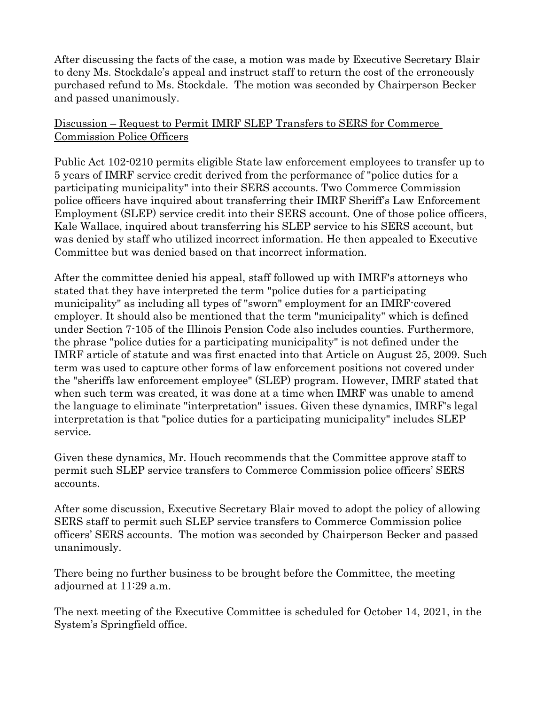After discussing the facts of the case, a motion was made by Executive Secretary Blair to deny Ms. Stockdale's appeal and instruct staff to return the cost of the erroneously purchased refund to Ms. Stockdale. The motion was seconded by Chairperson Becker and passed unanimously.

### Discussion – Request to Permit IMRF SLEP Transfers to SERS for Commerce Commission Police Officers

Public Act 102-0210 permits eligible State law enforcement employees to transfer up to 5 years of IMRF service credit derived from the performance of "police duties for a participating municipality" into their SERS accounts. Two Commerce Commission police officers have inquired about transferring their IMRF Sheriff's Law Enforcement Employment (SLEP) service credit into their SERS account. One of those police officers, Kale Wallace, inquired about transferring his SLEP service to his SERS account, but was denied by staff who utilized incorrect information. He then appealed to Executive Committee but was denied based on that incorrect information.

After the committee denied his appeal, staff followed up with IMRF's attorneys who stated that they have interpreted the term "police duties for a participating municipality" as including all types of "sworn" employment for an IMRF-covered employer. It should also be mentioned that the term "municipality" which is defined under Section 7-105 of the Illinois Pension Code also includes counties. Furthermore, the phrase "police duties for a participating municipality" is not defined under the IMRF article of statute and was first enacted into that Article on August 25, 2009. Such term was used to capture other forms of law enforcement positions not covered under the "sheriffs law enforcement employee" (SLEP) program. However, IMRF stated that when such term was created, it was done at a time when IMRF was unable to amend the language to eliminate "interpretation" issues. Given these dynamics, IMRF's legal interpretation is that "police duties for a participating municipality" includes SLEP service.

Given these dynamics, Mr. Houch recommends that the Committee approve staff to permit such SLEP service transfers to Commerce Commission police officers' SERS accounts.

After some discussion, Executive Secretary Blair moved to adopt the policy of allowing SERS staff to permit such SLEP service transfers to Commerce Commission police officers' SERS accounts. The motion was seconded by Chairperson Becker and passed unanimously.

There being no further business to be brought before the Committee, the meeting adjourned at 11:29 a.m.

The next meeting of the Executive Committee is scheduled for October 14, 2021, in the System's Springfield office.